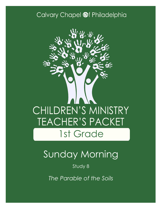### Calvary Chapel @f Philadelphia



# Sunday Morning

#### Study 8

*The Parable of the Soils*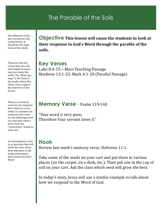#### The Parable of the Soils

The Objective is the key concept for this weeks lesson. It should be the main focus of the study

These are the key verses that you will find helpful in teaching your study this week. The "Main passage" is the basis of the study, where the other verse support the objective of the lesson.

There is a memory verse for the students that relates to every study. If a student can memorize the verse for the following week you may give them a prize from the "reward box" found on your cart.

An introductory activity or question that will settle the class, draw their attention to the study and prepare their hearts for God's Word

**Objective This lesson will cause the students to look at their response to God's Word through the parable of the soils.**

**Key Verses** Luke 8:4-15—Main Teaching Passage Matthew 13:1-23; Mark 4:1-20 (Parallel Passage)

#### **Memory Verse** - Psalm 119:140

"Your word *is* very pure; Therefore Your servant loves it."

#### **Hook**

Review last week's memory verse, Hebrews 11:1.

Take some of the seeds on your cart and put them in various places (on the carpet, on a desk, etc.). Then put one in the cup of soil on your cart. Ask the class which seed will grow the best.

In today's story, Jesus will use a similar example to talk about how we respond to the Word of God.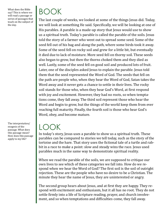What does the Bible say? This is where we will read a passage or series of passages that teach on the subject of the day.

BOOK

The last couple of weeks, we looked at some of the things Jesus did. Today, we will look at something He said. Specifically, we will be looking at one of His parables. A parable is a made-up story that Jesus would use to show us a spiritual truth. Today's parable is called the parable of the soils. Jesus told the story of a farmer who went out to spread some seed. Some of the seed fell out of his bag and along the path, where some birds took it away. Some of the seed fell on rocky soil and grew for a little bit, but eventually it died due to lack of moisture. More seed fell on thorny soil. These seeds also began to grow, but then the thorns choked them and they died as well. Lastly, some of the seed fell on good soil and produced lots of fruit. Later, one of the disciples asked Jesus to explain the parable. Jesus told them that the seed represented the Word of God. The seeds that fell on the path are people who, when they hear the Word of God, Satan takes the Word away and it never gets a chance to settle in their lives. The rocky soil stands for those who, when they hear God's Word, at first respond with joy and excitement. However, they had no roots, so when temptations come, they fall away. The third soil represent those who hear the Word and begin to grow, but the things of the world keep them from ever reaching full maturity. Finally, the fourth soil is those who hear God's Word, obey, and become mature.

## $C(K)$

In today's story, Jesus uses a parable to show us a spiritual truth. These parables can be compared to stories we tell today, such as the story of the tortoise and the hare. That story uses the fictional tale of a turtle and rabbit in a race to make a point: slow and steady wins the race. Jesus used parables much in the same way to demonstrate spiritual reality.

When we read the parable of the soils, we are supposed to critique our own lives to see which of these categories we fall into. How do we respond when we hear the Word of God? The first soil is the soil of outright rejection. These are the people who have no desire to be a Christian. The minute they hear the name of Jesus, they are uninterested or angry.

The second group hears about Jesus, and at first they are happy. They respond with excitement and enthusiasm, but it all has no root. They do not settle firmly into a life of Scripture reading, prayer, and church involvement, and so when temptations and difficulties come, they fall away.

The interpretation/ exegesis of the passage. What does this passage mean? How does this passage apply to my life?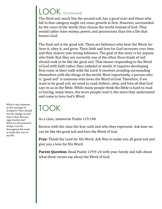# LOOK (Continued)

The third soil, much like the second soil, has a good start and those who fall in that category might see some growth at first. However, surrounded by the cares of the world, they choose the world instead of God. They would rather have money, power, and possessions than live a life that honors God.

The final soil is the good soil. These are believers who hear the Word, believe it, obey it, and grow. Their faith and love for God increases over time and they mature into strong believers. The goal of this story is for anyone who finds that they are currently one of the other three kinds of soil should seek to be like the good soil. That means responding to the Word of God with faith rather than unbelief or doubt. It requires developing firm roots in their walk with the Lord. It involves avoiding surrounding themselves with the things of the world. Most importantly, a person who is "good soil" is someone who loves the Word of God. Therefore, if we want to be good soil, we need to read, believe, obey, and love all that God says to us in the Bible. While many people think the Bible is hard to read or boring, many times, the more people read it, the more they understand and come to love God's Word.

## TOOK

As a class, memorize Psalm 119:140.

Review with the class the four soils and who they represent. Ask how we can be like the good soil and love the Word of God.

**Pray:** Thank the Lord for His Word. Ask Him to make you all good soil and give you a love for His Word.

**Parent Question:** Read Psalm 119:9-24 with your family and talk about what these verses say about the Word of God.

What is my response to this passage of Scripture? How should my life change according to what this passage teaches me? What are the practical things I can do throughout the week to make this true in my life.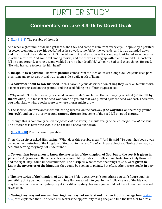## FURTHER STUDY

#### **Commentary on Luke 8:4-15 by David Guzik**

2. [\(Luk 8:4](https://www.blueletterbible.org/kjv/luke/8/4-8/s_981004)-8) The parable of the soils.

And when a great multitude had gathered, and they had come to Him from every city, He spoke by a parable: "A sower went out to sow his seed. And as he sowed, some fell by the wayside; and it was trampled down, and the birds of the air devoured it. Some fell on rock; and as soon as it sprang up, it withered away because it lacked moisture. And some fell among thorns, and the thorns sprang up with it and choked it. But others fell on good ground, sprang up, and yielded a crop a hundredfold." When He had said these things He cried, "He who has ears to hear, let him hear!"

a. **He spoke by a parable**: The word **parable** comes from the idea of "to set along side." As Jesus used parables, it means to set a spiritual truth along side a daily truth of living.

b. **A sower went out to sow his seed**: In this parable, Jesus described something they were all familiar witha farmer casting seed on the ground, and the seed falling on different types of soil.

i. Why wouldn't the farmer only cast seed on good soil? Some fell on the pathway by accident (**some fell by the wayside**), but most of the seed was sown on ground that was plowed *after* the seed was cast. Therefore, you didn't know where rocks were or where thorns might grow.

c. The seed fell on three areas without lasting success: on the pathway (**the wayside**), on the rocky ground (**on rock**), and on the thorny ground (**among thorns**). But some of the seed fell on **good ground**.

d. Though this is commonly called *the parable of the sower*, it should really be called *the parable of the soils*. The difference is never the *seed*, but on the kind of *soil* it lands on.

3. [\(Luk 8:9](https://www.blueletterbible.org/kjv/luke/8/9-10/s_981009)-10) The purpose of parables.

Then His disciples asked Him, saying, "What does this parable mean?" And He said, "To you it has been given to know the mysteries of the kingdom of God, but to the rest *it is given* in parables, that 'Seeing they may not see, and hearing they may not understand.'"

a. **To you it has been given to know the mysteries of the kingdom of God, but to the rest it is given in parables**: As Jesus used them, parables were more like puzzles or riddles than illustrations. Only those who had the right "key" could understand them. The disciples, who wanted the things of God, were **given to know the mysteries of the kingdom**-they could be spoken to plainly. But often, others were taught **in parables**.

i. **The mysteries of the kingdom of God**: In the Bible, a *mystery* isn't something you can't figure out. It is something that you would never know unless God revealed it to you. In the Biblical sense of the idea, you may know exactly what a mystery is, yet it is still a mystery, because you would not have known unless God revealed it.

b. **Seeing they may not see, and hearing they may not understand**: By quoting this passage from **Isaiah** [6:9,](https://www.blueletterbible.org/kjv/isaiah/6/9/s_685009) Jesus explained that He offered His hearers the opportunity to dig deep and find the truth, or to turn a